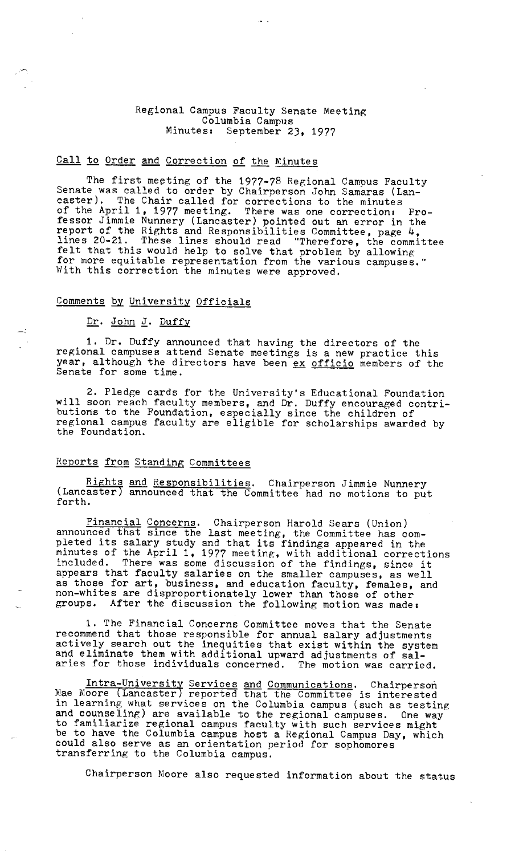#### Regional Campus Faculty Senate Meeting Columbia Campus<br>Minutes: September 2 September 23, 1977

# Call to Order and Correction of the Minutes

The first meeting of the 1977-78 Regional Campus Faculty Senate was called to order by Chairperson John Samaras (Lancaster). The Chair called for corrections to the minutes of the April 1, 1977 meeting, There was one correction, Professor Jimmie Nunnery (Lancaster) pointed out an error in the report of the Rights and Responsibilities Committee, page 4, lines 20-21. These lines should read "Therefore, the committee felt that this would help to solve that problem by allowing for more equitable representation from the various campuses." With this correction the minutes were approved,

## Comments by University Officials

#### Dr. John J. Duffy

1, Dr. Duffy announced that having the directors of the regional campuses attend Senate meetings is a new practice this year, although the directors have been ex officio members of the Senate for some time.

2. Pledge cards for the University's Educational Foundation will soon reach faculty members, and Dr. Duffy encouraged contributions to the Foundation, especially since the children of regional campus faculty are eligible for scholarships awarded by the Foundation.

# Reports from Standing Committees

Rights and Responsibilities. Chairperson Jimmie Nunnery (Lancaster) announced that the Committee had no motions to put forth.

Financial Concerns, Chairperson Harold Sears (Union) announced that since the last meeting, the Committee has completed its salary study and that its findings appeared in the minutes of the April 1, 1977 meeting, with additional corrections included. There was some discussion of the findings, since it appears that faculty salaries on the smaller campuses, as well as those for art, business, and education faculty, females, and non-whites are disproportionately lower than those of other groups. After the discussion the following motion was made,

1, The Financial Concerns Committee moves that the Senate recommend that those responsible for annual salary adjustments actively search out the inequities that exist within the system and eliminate them with additional upward adjustments of salaries for those individuals concerned. The motion was carried.

Intra-University Services and Communications. Chairperson Mae Moore (Lancaster) reported that the Committee is interested in learning what services on the Columbia campus (such as testing and counseling) are available to the regional campuses. One way to familiarize regional campus faculty with such services might be to have the Columbia campus host a Regional Campus Day, which could also serve as an orientation period for sophomores transferring to the Columbia campus.

Chairperson Moore also requested information about the status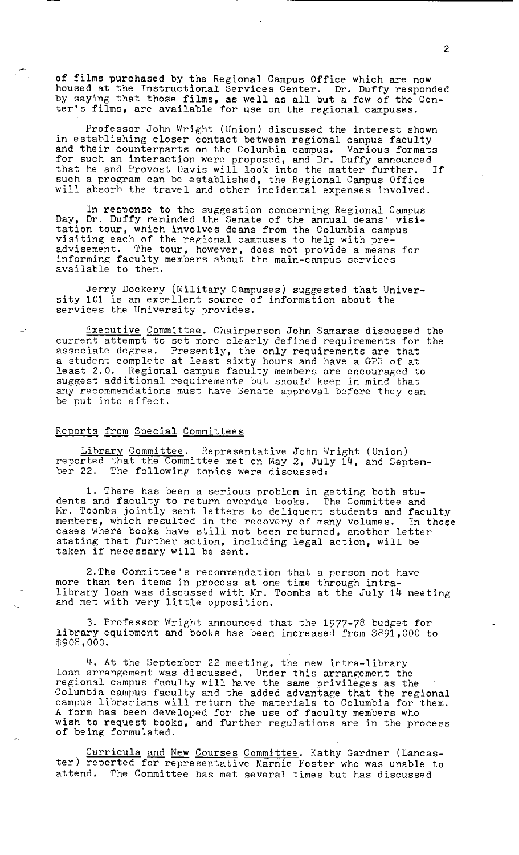of films purchased by the Regional Campus Office which are now housed at the Instructional Services Center. Dr. Duffy responded by saying that those films, as well as all but a few of the Cenby saying that those films, as well as all but a few of the error of the starting of the starting of the starting of  $\frac{1}{2}$ 

Professor John Wright (Union) discussed the interest shown in establishing closer contact between regional campus faculty and their counterparts on the Columbia campus. Various formats for such an interaction were proposed, and Dr. Duffy announced that he and Provost Davis will look into the matter further. If such a program can be established, the Regional Campus Office will absorb the travel and other incidental expenses involved.

In response to the suggestion concerning Regional Campus Day, Dr. Duffy reminded the Senate of the annual deans' visitation tour, which involves deans from the Columbia campus visiting each of the regional campuses to help with preadvisement. The tour, however, does not provide a means for informing faculty members about the main-campus services available to them.

Jerry Dockery (Military Campuses) suggested that University 101 is an excellent source of information about the services the University provides.

Executive Committee. Chairperson John Samaras discussed the current attempt to set more clearly defined requirements for the associate degree, Presently, the only requirements are that a student complete at least sixty hours and have a GPR of at least 2,0, Regional campus faculty members are encouraged to suggest additional requirements but snould keep in mind that any recommendations must have Senate approval before they can be put into effect.

## Reports from Special Committees

Library Committee. Representative John Wright (Union) reported that the Committee met on May 2, July 14, and September 22. The following topics were discussed:

1. There has been a serious problem in getting both students and faculty to return overdue books. The Committee and Mr. Toombs jointly sent letters to deliquent students and faculty members, which resulted in the recovery of many volumes. In those members, which resulted in the recovery of many volumes. In transportance books have still not been returned, another letter stating that further action, including legal action, will be stating that further action, inc.

2.The Committee's recommendation that a person not have more than ten items in process at one time through intralibrary loan was discussed with Mr. Toombs at the July 14 meeting and met with very little opposition.

3, Professor Wright announced that the 1977-78 budget for library equipment and books has been increased from  $$891,000$  to \$908,000.

4. At the September 22 meeting, the new intra-library loan arrangement was discussed, Under this arrangement the regional campus faculty will have the same privileges as the Columbia campus faculty and the added advantage that the regional campus librarians will return the materials to Columbia for them. A form has been developed for the use of faculty members who wish to request books, and further regulations are in the process of being formulated.

Curricula and New Courses Committee. Kathy Gardner (Lancaster) reported for representative Marnie Foster who was unable to attend. The Committee has met several times but has discussed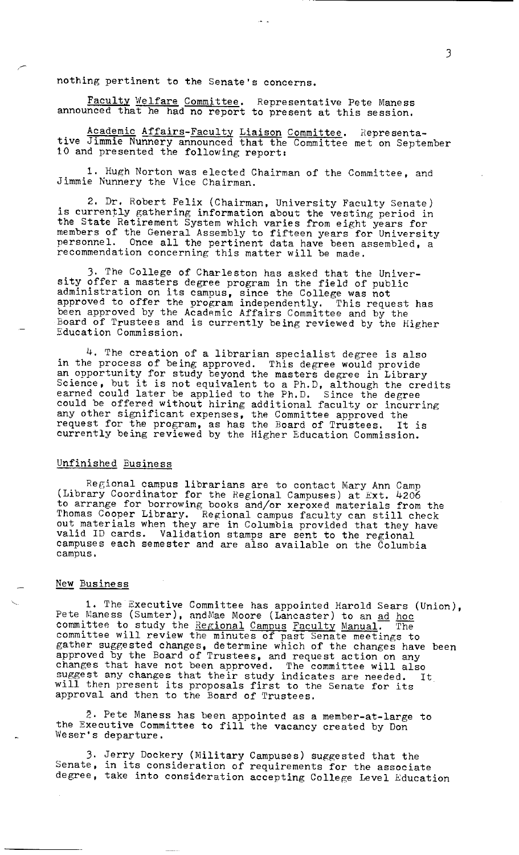nothing pertinent to the Senate's concerns.

Faculty Welfare Committee. Representative Pete Maness announced that he had no report to present at this session.

Academic Affairs-Faculty Liaison Committee. Representative Jimmie Nunnery announced that the Committee met on September 10 and presented the following report:

1. Hugh Norton was elected Chairman of the Committee, and Jimmie Nunnery the Vice Chairman.

2. Dr. Robert Felix (Chairman, University Faculty Senate) is currently gathering information about the vesting period in the State Retirement System which varies from eight years for members of the General Assembly to fifteen years for University members of the deneral assembly to firteen years for university<br>personnel. Once all the pertinent data have been assembled, a recommendation concerning this matter will be made,

3, The College of Charleston has asked that the University offer a masters degree program in the field of public administration on its campus, since the College was not approved to offer the program independently. This request has been approved by the Academic Affairs Committee and by the Board of Trustees and is currently being reviewed by the Higher Education Commission.

4. The creation of a librarian specialist degree is also in the process of being approved. This degree would provide an opportunity for study beyond the masters degree in Library an opportantly for study beyond the masters degree in Library<br>Science, but it is not equivalent to a Ph.D, although the credits earned could later be applied to the Ph.D. Since the degree could be offered without hiring additional faculty or incurring any other significant expenses, the Committee approved the any constructionally expenses, the committee approved the<br>request for the program, as has the Board of Trustees. It is currently being reviewed by the Higher Education Commission.

## Unfinished Business

Regional campus librarians are to contact Mary Ann Camp (Library Coordinator for the Regional Campuses) at Ext. 4206 to arrange for borrowing books and/or xeroxed materials from the Thomas Cooper Library. Regional campus faculty can still check out materials when they are in Columbia provided that they have valid ID cards. Validation stamps are sent to the regional campuses each semester and are also available on the Columbia campus,

#### New Business

1. The Executive Committee has appointed Harold Sears (Union), Pete Maness (Sumter), and Mae Moore (Lancaster) to an ad hoc committee to study the Regional Campus Faculty Manual. The committee will review the minutes of past Senate meetings to gather suggested changes, determine which of the changes have been approved by the Board of Trustees, and request action on any changes that have not been approved, The committee will also suggest any changes that their study indicates are needed. It buggess any enanges that their study indicates are needed.<br>will then present its proposals first to the Senate for its approval and then to the Board of Trustees.

2. Pete Maness has been appointed as a member-at-large to the Executive Committee to fill the vacancy created by Don Weser's departure.

3. Jerry Dockery (Military Campuses) suggested that the Senate, in its consideration of requirements for the associate degree, take into consideration accepting College Level Education